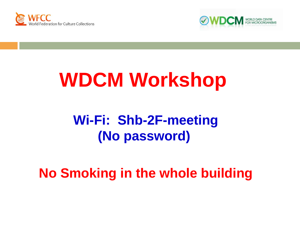



# **WDCM Workshop**

## **Wi-Fi: Shb-2F-meeting (No password)**

**No Smoking in the whole building**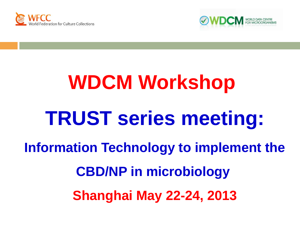



# **WDCM Workshop TRUST series meeting: Information Technology to implement the CBD/NP in microbiology Shanghai May 22-24, 2013**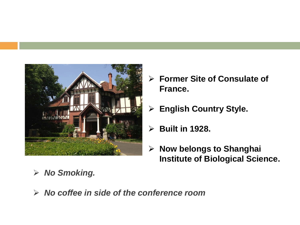

- **Former Site of Consulate of France.**
- **English Country Style.**
- **Built in 1928.**
- **Now belongs to Shanghai Institute of Biological Science.**

- *No Smoking.*
- *No coffee in side of the conference room*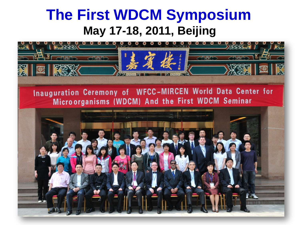## **The First WDCM Symposium May 17-18, 2011, Beijing**

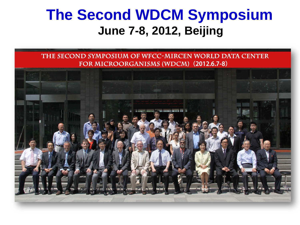## **The Second WDCM Symposium June 7-8, 2012, Beijing**



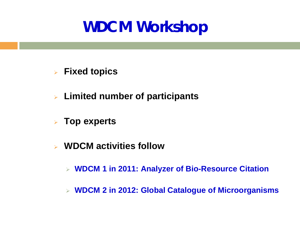## **WDCM Workshop**

- **Fixed topics**
- **Limited number of participants**
- **Top experts**
- **WDCM activities follow**
	- **WDCM 1 in 2011: Analyzer of Bio-Resource Citation**
	- **WDCM 2 in 2012: Global Catalogue of Microorganisms**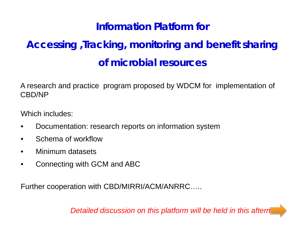#### **Information Platform for**

### **Accessing ,Tracking, monitoring and benefit sharing of microbial resources**

A research and practice program proposed by WDCM for implementation of CBD/NP

Which includes:

- Documentation: research reports on information system
- Schema of workflow
- Minimum datasets
- Connecting with GCM and ABC

Further cooperation with CBD/MIRRI/ACM/ANRRC…..

**Detailed discussion on this platform will be held in this aftern**